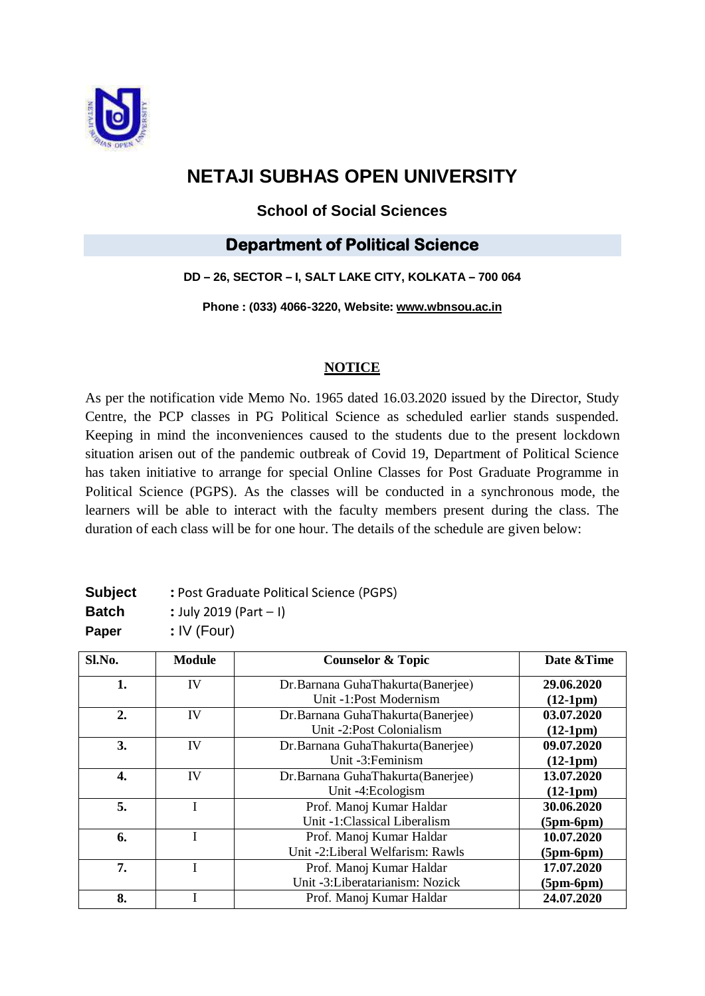

# **NETAJI SUBHAS OPEN UNIVERSITY**

### **School of Social Sciences**

## **Department of Political Science**

#### **DD – 26, SECTOR – I, SALT LAKE CITY, KOLKATA – 700 064**

**Phone : (033) 4066-3220, Website: www.[wbnsou](http://www.wbnsou.ac.in/).ac.in**

#### **NOTICE**

As per the notification vide Memo No. 1965 dated 16.03.2020 issued by the Director, Study Centre, the PCP classes in PG Political Science as scheduled earlier stands suspended. Keeping in mind the inconveniences caused to the students due to the present lockdown situation arisen out of the pandemic outbreak of Covid 19, Department of Political Science has taken initiative to arrange for special Online Classes for Post Graduate Programme in Political Science (PGPS). As the classes will be conducted in a synchronous mode, the learners will be able to interact with the faculty members present during the class. The duration of each class will be for one hour. The details of the schedule are given below:

| <b>Subject</b> | : Post Graduate Political Science (PGPS) |
|----------------|------------------------------------------|
| Batch          | : July 2019 (Part $-1$ )                 |
| Paper          | $:$ IV (Four)                            |

| Sl.No. | <b>Module</b> | <b>Counselor &amp; Topic</b>      | Date & Time |
|--------|---------------|-----------------------------------|-------------|
| 1.     | IV            | Dr.Barnana GuhaThakurta(Banerjee) | 29.06.2020  |
|        |               | Unit -1:Post Modernism            | $(12-1pm)$  |
| 2.     | IV            | Dr.Barnana GuhaThakurta(Banerjee) | 03.07.2020  |
|        |               | Unit -2:Post Colonialism          | $(12-1pm)$  |
| 3.     | IV            | Dr.Barnana GuhaThakurta(Banerjee) | 09.07.2020  |
|        |               | Unit -3: Feminism                 | $(12-1pm)$  |
| 4.     | IV            | Dr.Barnana GuhaThakurta(Banerjee) | 13.07.2020  |
|        |               | Unit -4:Ecologism                 | $(12-1pm)$  |
| 5.     |               | Prof. Manoj Kumar Haldar          | 30.06.2020  |
|        |               | Unit -1:Classical Liberalism      | $(5pm-6pm)$ |
| 6.     |               | Prof. Manoj Kumar Haldar          | 10.07.2020  |
|        |               | Unit -2:Liberal Welfarism: Rawls  | $(5pm-6pm)$ |
| 7.     |               | Prof. Manoj Kumar Haldar          | 17.07.2020  |
|        |               | Unit -3:Liberatarianism: Nozick   | $(5pm-6pm)$ |
| 8.     |               | Prof. Manoj Kumar Haldar          | 24.07.2020  |